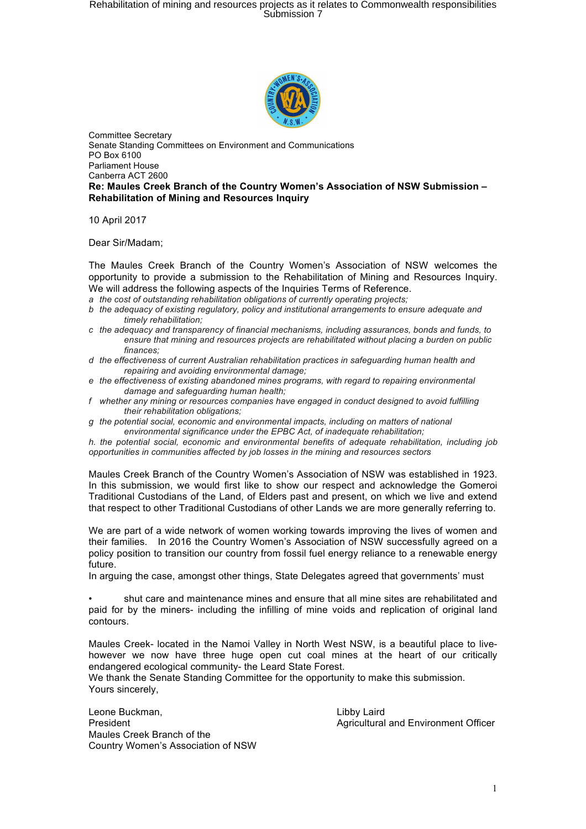# Rehabilitation of mining and resources projects as it relates to Commonwealth responsibilities<br>Submission 7



Committee Secretary Senate Standing Committees on Environment and Communications PO Box 6100 Parliament House Canberra ACT 2600 **Re: Maules Creek Branch of the Country Women's Association of NSW Submission – Rehabilitation of Mining and Resources Inquiry**

10 April 2017

Dear Sir/Madam;

The Maules Creek Branch of the Country Women's Association of NSW welcomes the opportunity to provide a submission to the Rehabilitation of Mining and Resources Inquiry. We will address the following aspects of the Inquiries Terms of Reference.

*a the cost of outstanding rehabilitation obligations of currently operating projects;*

- *b the adequacy of existing regulatory, policy and institutional arrangements to ensure adequate and timely rehabilitation;*
- *c the adequacy and transparency of financial mechanisms, including assurances, bonds and funds, to ensure that mining and resources projects are rehabilitated without placing a burden on public finances;*
- *d the effectiveness of current Australian rehabilitation practices in safeguarding human health and repairing and avoiding environmental damage;*
- *e the effectiveness of existing abandoned mines programs, with regard to repairing environmental damage and safeguarding human health;*
- *f whether any mining or resources companies have engaged in conduct designed to avoid fulfilling their rehabilitation obligations;*
- *g the potential social, economic and environmental impacts, including on matters of national environmental significance under the EPBC Act, of inadequate rehabilitation;*

*h. the potential social, economic and environmental benefits of adequate rehabilitation, including job opportunities in communities affected by job losses in the mining and resources sectors*

Maules Creek Branch of the Country Women's Association of NSW was established in 1923. In this submission, we would first like to show our respect and acknowledge the Gomeroi Traditional Custodians of the Land, of Elders past and present, on which we live and extend that respect to other Traditional Custodians of other Lands we are more generally referring to.

We are part of a wide network of women working towards improving the lives of women and their families. In 2016 the Country Women's Association of NSW successfully agreed on a policy position to transition our country from fossil fuel energy reliance to a renewable energy future.

In arguing the case, amongst other things, State Delegates agreed that governments' must

• shut care and maintenance mines and ensure that all mine sites are rehabilitated and paid for by the miners- including the infilling of mine voids and replication of original land contours.

Maules Creek- located in the Namoi Valley in North West NSW, is a beautiful place to livehowever we now have three huge open cut coal mines at the heart of our critically endangered ecological community- the Leard State Forest.

We thank the Senate Standing Committee for the opportunity to make this submission. Yours sincerely,

Leone Buckman, The Contract of the Libby Laird Libby Laird President Agricultural and Environment Officer Maules Creek Branch of the Country Women's Association of NSW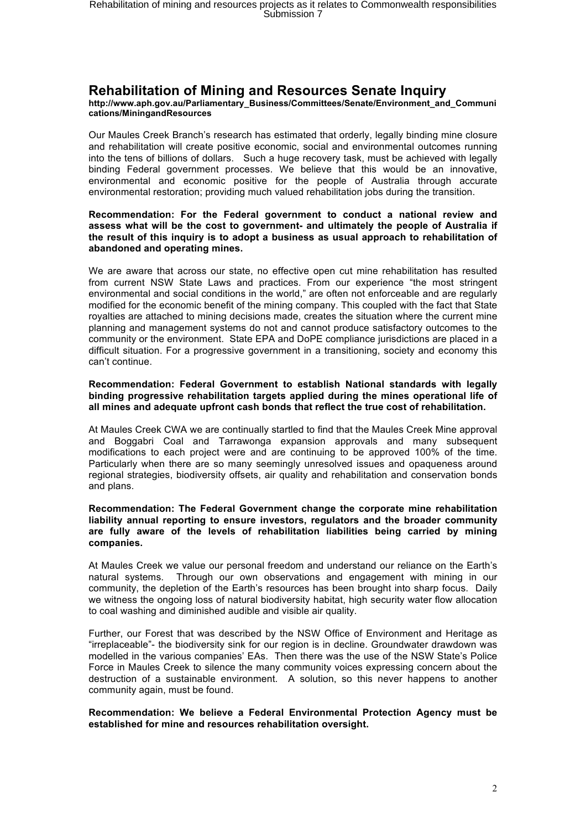# **Rehabilitation of Mining and Resources Senate Inquiry**

**http://www.aph.gov.au/Parliamentary\_Business/Committees/Senate/Environment\_and\_Communi cations/MiningandResources**

Our Maules Creek Branch's research has estimated that orderly, legally binding mine closure and rehabilitation will create positive economic, social and environmental outcomes running into the tens of billions of dollars. Such a huge recovery task, must be achieved with legally binding Federal government processes. We believe that this would be an innovative, environmental and economic positive for the people of Australia through accurate environmental restoration; providing much valued rehabilitation jobs during the transition.

#### **Recommendation: For the Federal government to conduct a national review and assess what will be the cost to government- and ultimately the people of Australia if the result of this inquiry is to adopt a business as usual approach to rehabilitation of abandoned and operating mines.**

We are aware that across our state, no effective open cut mine rehabilitation has resulted from current NSW State Laws and practices. From our experience "the most stringent environmental and social conditions in the world," are often not enforceable and are regularly modified for the economic benefit of the mining company. This coupled with the fact that State royalties are attached to mining decisions made, creates the situation where the current mine planning and management systems do not and cannot produce satisfactory outcomes to the community or the environment. State EPA and DoPE compliance jurisdictions are placed in a difficult situation. For a progressive government in a transitioning, society and economy this can't continue.

#### **Recommendation: Federal Government to establish National standards with legally binding progressive rehabilitation targets applied during the mines operational life of all mines and adequate upfront cash bonds that reflect the true cost of rehabilitation.**

At Maules Creek CWA we are continually startled to find that the Maules Creek Mine approval and Boggabri Coal and Tarrawonga expansion approvals and many subsequent modifications to each project were and are continuing to be approved 100% of the time. Particularly when there are so many seemingly unresolved issues and opaqueness around regional strategies, biodiversity offsets, air quality and rehabilitation and conservation bonds and plans.

#### **Recommendation: The Federal Government change the corporate mine rehabilitation liability annual reporting to ensure investors, regulators and the broader community are fully aware of the levels of rehabilitation liabilities being carried by mining companies.**

At Maules Creek we value our personal freedom and understand our reliance on the Earth's natural systems. Through our own observations and engagement with mining in our community, the depletion of the Earth's resources has been brought into sharp focus. Daily we witness the ongoing loss of natural biodiversity habitat, high security water flow allocation to coal washing and diminished audible and visible air quality.

Further, our Forest that was described by the NSW Office of Environment and Heritage as "irreplaceable"- the biodiversity sink for our region is in decline. Groundwater drawdown was modelled in the various companies' EAs. Then there was the use of the NSW State's Police Force in Maules Creek to silence the many community voices expressing concern about the destruction of a sustainable environment. A solution, so this never happens to another community again, must be found.

## **Recommendation: We believe a Federal Environmental Protection Agency must be established for mine and resources rehabilitation oversight.**